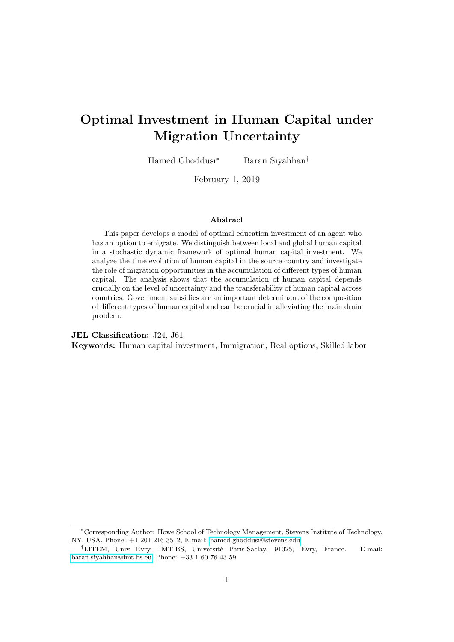# Optimal Investment in Human Capital under Migration Uncertainty

Hamed Ghoddusi<sup>∗</sup> Baran Siyahhan†

February 1, 2019

#### Abstract

This paper develops a model of optimal education investment of an agent who has an option to emigrate. We distinguish between local and global human capital in a stochastic dynamic framework of optimal human capital investment. We analyze the time evolution of human capital in the source country and investigate the role of migration opportunities in the accumulation of different types of human capital. The analysis shows that the accumulation of human capital depends crucially on the level of uncertainty and the transferability of human capital across countries. Government subsidies are an important determinant of the composition of different types of human capital and can be crucial in alleviating the brain drain problem.

JEL Classification: J24, J61

Keywords: Human capital investment, Immigration, Real options, Skilled labor

<sup>∗</sup>Corresponding Author: Howe School of Technology Management, Stevens Institute of Technology, NY, USA. Phone: +1 201 216 3512, E-mail: [hamed.ghoddusi@stevens.edu](mailto:hamed.ghoddusi@stevens.edu)

<sup>&</sup>lt;sup>†</sup>LITEM, Univ Evry, IMT-BS, Université Paris-Saclay, 91025, Evry, France. E-mail: [baran.siyahhan@imt-bs.eu,](mailto:baran.siyahhan@imt-bs.eu) Phone: +33 1 60 76 43 59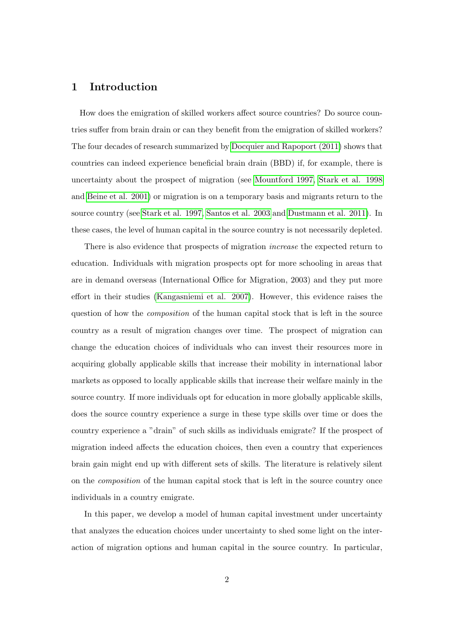# 1 Introduction

How does the emigration of skilled workers affect source countries? Do source countries suffer from brain drain or can they benefit from the emigration of skilled workers? The four decades of research summarized by [Docquier and Rapoport \(2011\)](#page-31-0) shows that countries can indeed experience beneficial brain drain (BBD) if, for example, there is uncertainty about the prospect of migration (see [Mountford 1997,](#page-32-0) [Stark et al. 1998](#page-32-1) and [Beine et al. 2001\)](#page-30-0) or migration is on a temporary basis and migrants return to the source country (see [Stark et al. 1997,](#page-32-2) [Santos et al. 2003](#page-32-3) and [Dustmann et al. 2011\)](#page-31-1). In these cases, the level of human capital in the source country is not necessarily depleted.

There is also evidence that prospects of migration increase the expected return to education. Individuals with migration prospects opt for more schooling in areas that are in demand overseas (International Office for Migration, 2003) and they put more effort in their studies [\(Kangasniemi et al. 2007\)](#page-31-2). However, this evidence raises the question of how the composition of the human capital stock that is left in the source country as a result of migration changes over time. The prospect of migration can change the education choices of individuals who can invest their resources more in acquiring globally applicable skills that increase their mobility in international labor markets as opposed to locally applicable skills that increase their welfare mainly in the source country. If more individuals opt for education in more globally applicable skills, does the source country experience a surge in these type skills over time or does the country experience a "drain" of such skills as individuals emigrate? If the prospect of migration indeed affects the education choices, then even a country that experiences brain gain might end up with different sets of skills. The literature is relatively silent on the composition of the human capital stock that is left in the source country once individuals in a country emigrate.

In this paper, we develop a model of human capital investment under uncertainty that analyzes the education choices under uncertainty to shed some light on the interaction of migration options and human capital in the source country. In particular,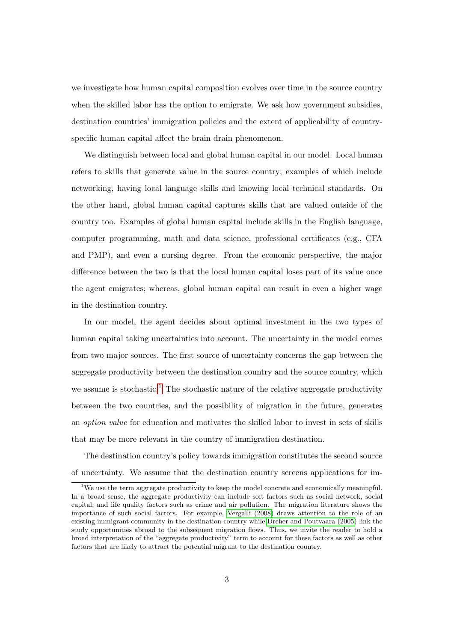we investigate how human capital composition evolves over time in the source country when the skilled labor has the option to emigrate. We ask how government subsidies, destination countries' immigration policies and the extent of applicability of countryspecific human capital affect the brain drain phenomenon.

We distinguish between local and global human capital in our model. Local human refers to skills that generate value in the source country; examples of which include networking, having local language skills and knowing local technical standards. On the other hand, global human capital captures skills that are valued outside of the country too. Examples of global human capital include skills in the English language, computer programming, math and data science, professional certificates (e.g., CFA and PMP), and even a nursing degree. From the economic perspective, the major difference between the two is that the local human capital loses part of its value once the agent emigrates; whereas, global human capital can result in even a higher wage in the destination country.

In our model, the agent decides about optimal investment in the two types of human capital taking uncertainties into account. The uncertainty in the model comes from two major sources. The first source of uncertainty concerns the gap between the aggregate productivity between the destination country and the source country, which we assume is stochastic.<sup>[1](#page-2-0)</sup> The stochastic nature of the relative aggregate productivity between the two countries, and the possibility of migration in the future, generates an option value for education and motivates the skilled labor to invest in sets of skills that may be more relevant in the country of immigration destination.

The destination country's policy towards immigration constitutes the second source of uncertainty. We assume that the destination country screens applications for im-

<span id="page-2-0"></span> $1$ We use the term aggregate productivity to keep the model concrete and economically meaningful. In a broad sense, the aggregate productivity can include soft factors such as social network, social capital, and life quality factors such as crime and air pollution. The migration literature shows the importance of such social factors. For example, [Vergalli \(2008\)](#page-33-0) draws attention to the role of an existing immigrant community in the destination country while [Dreher and Poutvaara \(2005\)](#page-31-3) link the study opportunities abroad to the subsequent migration flows. Thus, we invite the reader to hold a broad interpretation of the "aggregate productivity" term to account for these factors as well as other factors that are likely to attract the potential migrant to the destination country.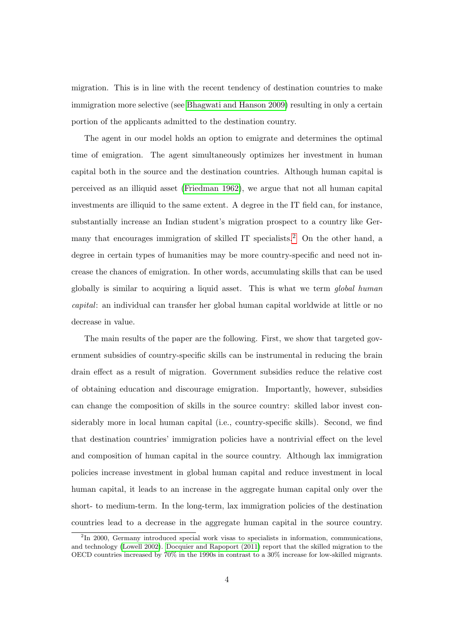migration. This is in line with the recent tendency of destination countries to make immigration more selective (see [Bhagwati and Hanson 2009\)](#page-30-1) resulting in only a certain portion of the applicants admitted to the destination country.

The agent in our model holds an option to emigrate and determines the optimal time of emigration. The agent simultaneously optimizes her investment in human capital both in the source and the destination countries. Although human capital is perceived as an illiquid asset [\(Friedman 1962\)](#page-31-4), we argue that not all human capital investments are illiquid to the same extent. A degree in the IT field can, for instance, substantially increase an Indian student's migration prospect to a country like Ger-many that encourages immigration of skilled IT specialists.<sup>[2](#page-3-0)</sup> On the other hand, a degree in certain types of humanities may be more country-specific and need not increase the chances of emigration. In other words, accumulating skills that can be used globally is similar to acquiring a liquid asset. This is what we term global human capital: an individual can transfer her global human capital worldwide at little or no decrease in value.

The main results of the paper are the following. First, we show that targeted government subsidies of country-specific skills can be instrumental in reducing the brain drain effect as a result of migration. Government subsidies reduce the relative cost of obtaining education and discourage emigration. Importantly, however, subsidies can change the composition of skills in the source country: skilled labor invest considerably more in local human capital (i.e., country-specific skills). Second, we find that destination countries' immigration policies have a nontrivial effect on the level and composition of human capital in the source country. Although lax immigration policies increase investment in global human capital and reduce investment in local human capital, it leads to an increase in the aggregate human capital only over the short- to medium-term. In the long-term, lax immigration policies of the destination countries lead to a decrease in the aggregate human capital in the source country.

<span id="page-3-0"></span><sup>&</sup>lt;sup>2</sup>In 2000, Germany introduced special work visas to specialists in information, communications, and technology [\(Lowell 2002\)](#page-32-4). [Docquier and Rapoport \(2011\)](#page-31-0) report that the skilled migration to the OECD countries increased by 70% in the 1990s in contrast to a 30% increase for low-skilled migrants.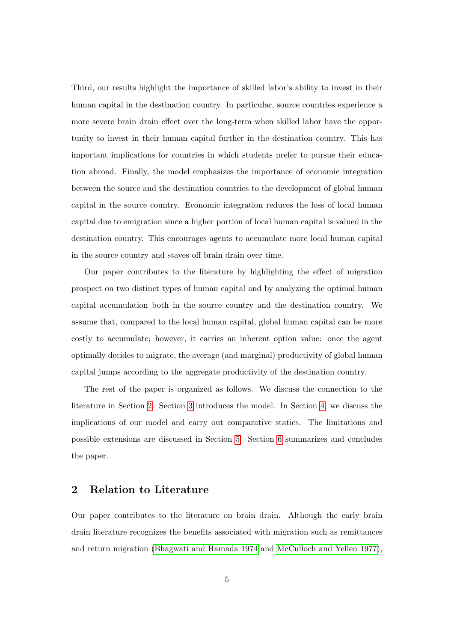Third, our results highlight the importance of skilled labor's ability to invest in their human capital in the destination country. In particular, source countries experience a more severe brain drain effect over the long-term when skilled labor have the opportunity to invest in their human capital further in the destination country. This has important implications for countries in which students prefer to pursue their education abroad. Finally, the model emphasizes the importance of economic integration between the source and the destination countries to the development of global human capital in the source country. Economic integration reduces the loss of local human capital due to emigration since a higher portion of local human capital is valued in the destination country. This encourages agents to accumulate more local human capital in the source country and staves off brain drain over time.

Our paper contributes to the literature by highlighting the effect of migration prospect on two distinct types of human capital and by analyzing the optimal human capital accumulation both in the source country and the destination country. We assume that, compared to the local human capital, global human capital can be more costly to accumulate; however, it carries an inherent option value: once the agent optimally decides to migrate, the average (and marginal) productivity of global human capital jumps according to the aggregate productivity of the destination country.

The rest of the paper is organized as follows. We discuss the connection to the literature in Section [2.](#page-4-0) Section [3](#page-6-0) introduces the model. In Section [4,](#page-15-0) we discuss the implications of our model and carry out comparative statics. The limitations and possible extensions are discussed in Section [5.](#page-23-0) Section [6](#page-26-0) summarizes and concludes the paper.

### <span id="page-4-0"></span>2 Relation to Literature

Our paper contributes to the literature on brain drain. Although the early brain drain literature recognizes the benefits associated with migration such as remittances and return migration [\(Bhagwati and Hamada 1974](#page-30-2) and [McCulloch and Yellen 1977\)](#page-32-5),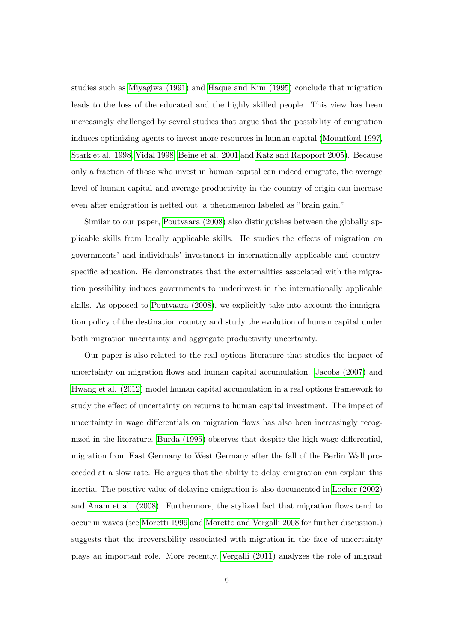studies such as [Miyagiwa \(1991\)](#page-32-6) and [Haque and Kim \(1995\)](#page-31-5) conclude that migration leads to the loss of the educated and the highly skilled people. This view has been increasingly challenged by sevral studies that argue that the possibility of emigration induces optimizing agents to invest more resources in human capital [\(Mountford 1997,](#page-32-0) [Stark et al. 1998,](#page-32-1) [Vidal 1998,](#page-33-1) [Beine et al. 2001](#page-30-0) and [Katz and Rapoport 2005\)](#page-31-6). Because only a fraction of those who invest in human capital can indeed emigrate, the average level of human capital and average productivity in the country of origin can increase even after emigration is netted out; a phenomenon labeled as "brain gain."

Similar to our paper, [Poutvaara \(2008\)](#page-32-7) also distinguishes between the globally applicable skills from locally applicable skills. He studies the effects of migration on governments' and individuals' investment in internationally applicable and countryspecific education. He demonstrates that the externalities associated with the migration possibility induces governments to underinvest in the internationally applicable skills. As opposed to [Poutvaara \(2008\)](#page-32-7), we explicitly take into account the immigration policy of the destination country and study the evolution of human capital under both migration uncertainty and aggregate productivity uncertainty.

Our paper is also related to the real options literature that studies the impact of uncertainty on migration flows and human capital accumulation. [Jacobs \(2007\)](#page-31-7) and [Hwang et al. \(2012\)](#page-31-8) model human capital accumulation in a real options framework to study the effect of uncertainty on returns to human capital investment. The impact of uncertainty in wage differentials on migration flows has also been increasingly recognized in the literature. [Burda \(1995\)](#page-30-3) observes that despite the high wage differential, migration from East Germany to West Germany after the fall of the Berlin Wall proceeded at a slow rate. He argues that the ability to delay emigration can explain this inertia. The positive value of delaying emigration is also documented in [Locher \(2002\)](#page-31-9) and [Anam et al. \(2008\)](#page-30-4). Furthermore, the stylized fact that migration flows tend to occur in waves (see [Moretti 1999](#page-32-8) and [Moretto and Vergalli 2008](#page-32-9) for further discussion.) suggests that the irreversibility associated with migration in the face of uncertainty plays an important role. More recently, [Vergalli \(2011\)](#page-33-2) analyzes the role of migrant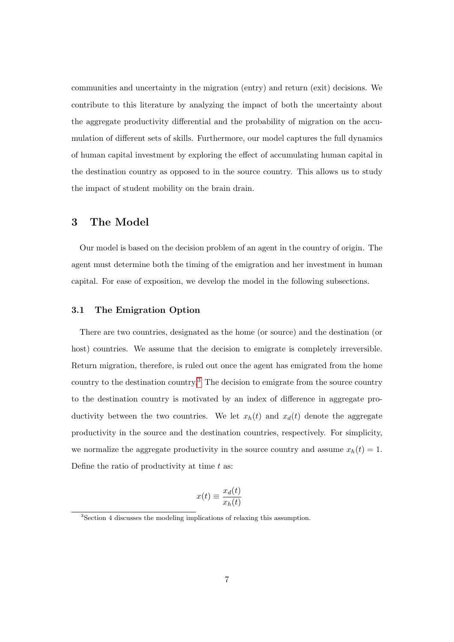communities and uncertainty in the migration (entry) and return (exit) decisions. We contribute to this literature by analyzing the impact of both the uncertainty about the aggregate productivity differential and the probability of migration on the accumulation of different sets of skills. Furthermore, our model captures the full dynamics of human capital investment by exploring the effect of accumulating human capital in the destination country as opposed to in the source country. This allows us to study the impact of student mobility on the brain drain.

# <span id="page-6-0"></span>3 The Model

Our model is based on the decision problem of an agent in the country of origin. The agent must determine both the timing of the emigration and her investment in human capital. For ease of exposition, we develop the model in the following subsections.

#### 3.1 The Emigration Option

There are two countries, designated as the home (or source) and the destination (or host) countries. We assume that the decision to emigrate is completely irreversible. Return migration, therefore, is ruled out once the agent has emigrated from the home country to the destination country.[3](#page-6-1) The decision to emigrate from the source country to the destination country is motivated by an index of difference in aggregate productivity between the two countries. We let  $x_h(t)$  and  $x_d(t)$  denote the aggregate productivity in the source and the destination countries, respectively. For simplicity, we normalize the aggregate productivity in the source country and assume  $x_h(t) = 1$ . Define the ratio of productivity at time  $t$  as:

<span id="page-6-2"></span>
$$
x(t) \equiv \frac{x_d(t)}{x_h(t)}
$$

<span id="page-6-1"></span><sup>3</sup>Section 4 discusses the modeling implications of relaxing this assumption.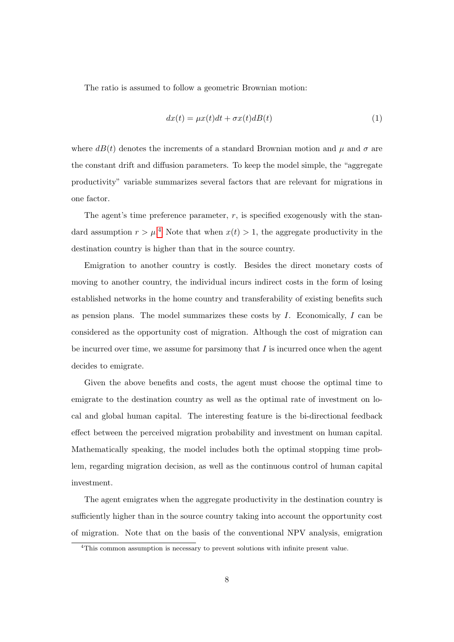The ratio is assumed to follow a geometric Brownian motion:

$$
dx(t) = \mu x(t)dt + \sigma x(t)dB(t)
$$
\n(1)

where  $dB(t)$  denotes the increments of a standard Brownian motion and  $\mu$  and  $\sigma$  are the constant drift and diffusion parameters. To keep the model simple, the "aggregate productivity" variable summarizes several factors that are relevant for migrations in one factor.

The agent's time preference parameter,  $r$ , is specified exogenously with the standard assumption  $r > \mu^4$  $r > \mu^4$ . Note that when  $x(t) > 1$ , the aggregate productivity in the destination country is higher than that in the source country.

Emigration to another country is costly. Besides the direct monetary costs of moving to another country, the individual incurs indirect costs in the form of losing established networks in the home country and transferability of existing benefits such as pension plans. The model summarizes these costs by  $I$ . Economically,  $I$  can be considered as the opportunity cost of migration. Although the cost of migration can be incurred over time, we assume for parsimony that  $I$  is incurred once when the agent decides to emigrate.

Given the above benefits and costs, the agent must choose the optimal time to emigrate to the destination country as well as the optimal rate of investment on local and global human capital. The interesting feature is the bi-directional feedback effect between the perceived migration probability and investment on human capital. Mathematically speaking, the model includes both the optimal stopping time problem, regarding migration decision, as well as the continuous control of human capital investment.

The agent emigrates when the aggregate productivity in the destination country is sufficiently higher than in the source country taking into account the opportunity cost of migration. Note that on the basis of the conventional NPV analysis, emigration

<span id="page-7-0"></span><sup>&</sup>lt;sup>4</sup>This common assumption is necessary to prevent solutions with infinite present value.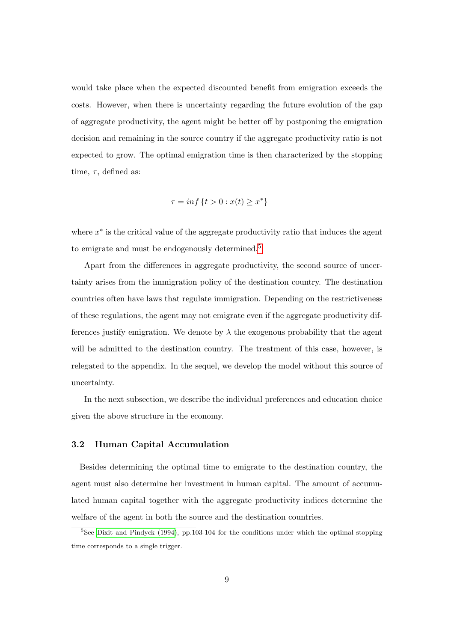would take place when the expected discounted benefit from emigration exceeds the costs. However, when there is uncertainty regarding the future evolution of the gap of aggregate productivity, the agent might be better off by postponing the emigration decision and remaining in the source country if the aggregate productivity ratio is not expected to grow. The optimal emigration time is then characterized by the stopping time,  $\tau$ , defined as:

<span id="page-8-1"></span>
$$
\tau = \inf \{ t > 0 : x(t) \ge x^* \}
$$

where  $x^*$  is the critical value of the aggregate productivity ratio that induces the agent to emigrate and must be endogenously determined.<sup>[5](#page-8-0)</sup>

Apart from the differences in aggregate productivity, the second source of uncertainty arises from the immigration policy of the destination country. The destination countries often have laws that regulate immigration. Depending on the restrictiveness of these regulations, the agent may not emigrate even if the aggregate productivity differences justify emigration. We denote by  $\lambda$  the exogenous probability that the agent will be admitted to the destination country. The treatment of this case, however, is relegated to the appendix. In the sequel, we develop the model without this source of uncertainty.

In the next subsection, we describe the individual preferences and education choice given the above structure in the economy.

#### 3.2 Human Capital Accumulation

Besides determining the optimal time to emigrate to the destination country, the agent must also determine her investment in human capital. The amount of accumulated human capital together with the aggregate productivity indices determine the welfare of the agent in both the source and the destination countries.

<span id="page-8-0"></span> $5$ See [Dixit and Pindyck \(1994\)](#page-30-5), pp.103-104 for the conditions under which the optimal stopping time corresponds to a single trigger.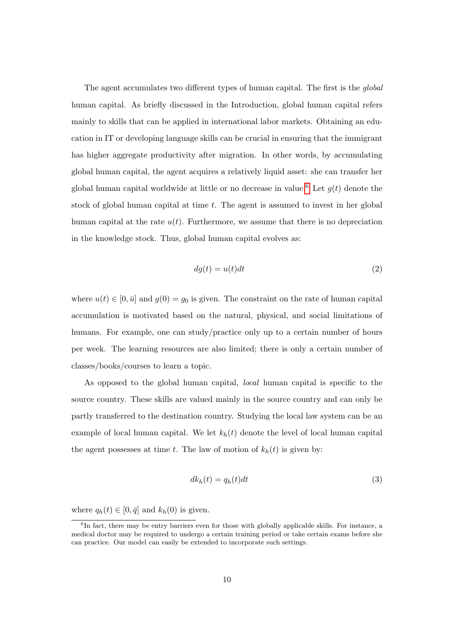The agent accumulates two different types of human capital. The first is the global human capital. As briefly discussed in the Introduction, global human capital refers mainly to skills that can be applied in international labor markets. Obtaining an education in IT or developing language skills can be crucial in ensuring that the immigrant has higher aggregate productivity after migration. In other words, by accumulating global human capital, the agent acquires a relatively liquid asset: she can transfer her global human capital worldwide at little or no decrease in value.<sup>[6](#page-9-0)</sup> Let  $g(t)$  denote the stock of global human capital at time t. The agent is assumed to invest in her global human capital at the rate  $u(t)$ . Furthermore, we assume that there is no depreciation in the knowledge stock. Thus, global human capital evolves as:

$$
dg(t) = u(t)dt
$$
\n(2)

where  $u(t) \in [0, \bar{u}]$  and  $g(0) = g_0$  is given. The constraint on the rate of human capital accumulation is motivated based on the natural, physical, and social limitations of humans. For example, one can study/practice only up to a certain number of hours per week. The learning resources are also limited; there is only a certain number of classes/books/courses to learn a topic.

As opposed to the global human capital, local human capital is specific to the source country. These skills are valued mainly in the source country and can only be partly transferred to the destination country. Studying the local law system can be an example of local human capital. We let  $k_h(t)$  denote the level of local human capital the agent possesses at time t. The law of motion of  $k_h(t)$  is given by:

<span id="page-9-1"></span>
$$
dk_h(t) = q_h(t)dt
$$
\n(3)

where  $q_h(t) \in [0, \bar{q}]$  and  $k_h(0)$  is given.

<span id="page-9-0"></span><sup>&</sup>lt;sup>6</sup>In fact, there may be entry barriers even for those with globally applicable skills. For instance, a medical doctor may be required to undergo a certain training period or take certain exams before she can practice. Our model can easily be extended to incorporate such settings.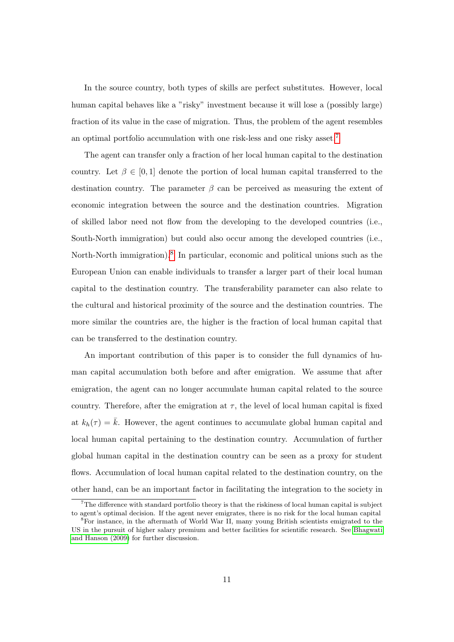In the source country, both types of skills are perfect substitutes. However, local human capital behaves like a "risky" investment because it will lose a (possibly large) fraction of its value in the case of migration. Thus, the problem of the agent resembles an optimal portfolio accumulation with one risk-less and one risky asset.[7](#page-10-0)

The agent can transfer only a fraction of her local human capital to the destination country. Let  $\beta \in [0, 1]$  denote the portion of local human capital transferred to the destination country. The parameter  $\beta$  can be perceived as measuring the extent of economic integration between the source and the destination countries. Migration of skilled labor need not flow from the developing to the developed countries (i.e., South-North immigration) but could also occur among the developed countries (i.e., North-North immigration).<sup>[8](#page-10-1)</sup> In particular, economic and political unions such as the European Union can enable individuals to transfer a larger part of their local human capital to the destination country. The transferability parameter can also relate to the cultural and historical proximity of the source and the destination countries. The more similar the countries are, the higher is the fraction of local human capital that can be transferred to the destination country.

An important contribution of this paper is to consider the full dynamics of human capital accumulation both before and after emigration. We assume that after emigration, the agent can no longer accumulate human capital related to the source country. Therefore, after the emigration at  $\tau$ , the level of local human capital is fixed at  $k_h(\tau) = k$ . However, the agent continues to accumulate global human capital and local human capital pertaining to the destination country. Accumulation of further global human capital in the destination country can be seen as a proxy for student flows. Accumulation of local human capital related to the destination country, on the other hand, can be an important factor in facilitating the integration to the society in

<span id="page-10-0"></span> $7$ The difference with standard portfolio theory is that the riskiness of local human capital is subject to agent's optimal decision. If the agent never emigrates, there is no risk for the local human capital

<span id="page-10-1"></span><sup>8</sup>For instance, in the aftermath of World War II, many young British scientists emigrated to the US in the pursuit of higher salary premium and better facilities for scientific research. See [Bhagwati](#page-30-1) [and Hanson \(2009\)](#page-30-1) for further discussion.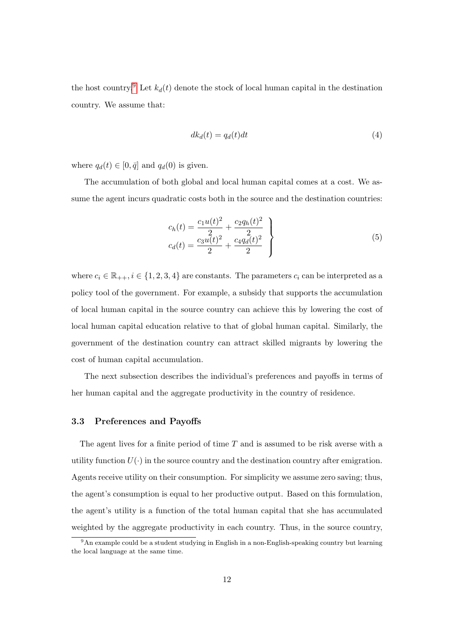the host country.<sup>[9](#page-11-0)</sup> Let  $k_d(t)$  denote the stock of local human capital in the destination country. We assume that:

<span id="page-11-1"></span>
$$
dk_d(t) = q_d(t)dt
$$
\n(4)

where  $q_d(t) \in [0, \bar{q}]$  and  $q_d(0)$  is given.

The accumulation of both global and local human capital comes at a cost. We assume the agent incurs quadratic costs both in the source and the destination countries:

<span id="page-11-2"></span>
$$
c_h(t) = \frac{c_1 u(t)^2}{2} + \frac{c_2 q_h(t)^2}{2}
$$
  
\n
$$
c_d(t) = \frac{c_3 u(t)^2}{2} + \frac{c_4 q_d(t)^2}{2}
$$
\n(5)

where  $c_i \in \mathbb{R}_{++}$ ,  $i \in \{1, 2, 3, 4\}$  are constants. The parameters  $c_i$  can be interpreted as a policy tool of the government. For example, a subsidy that supports the accumulation of local human capital in the source country can achieve this by lowering the cost of local human capital education relative to that of global human capital. Similarly, the government of the destination country can attract skilled migrants by lowering the cost of human capital accumulation.

The next subsection describes the individual's preferences and payoffs in terms of her human capital and the aggregate productivity in the country of residence.

#### 3.3 Preferences and Payoffs

The agent lives for a finite period of time T and is assumed to be risk averse with a utility function  $U(\cdot)$  in the source country and the destination country after emigration. Agents receive utility on their consumption. For simplicity we assume zero saving; thus, the agent's consumption is equal to her productive output. Based on this formulation, the agent's utility is a function of the total human capital that she has accumulated weighted by the aggregate productivity in each country. Thus, in the source country,

<span id="page-11-0"></span><sup>&</sup>lt;sup>9</sup>An example could be a student studying in English in a non-English-speaking country but learning the local language at the same time.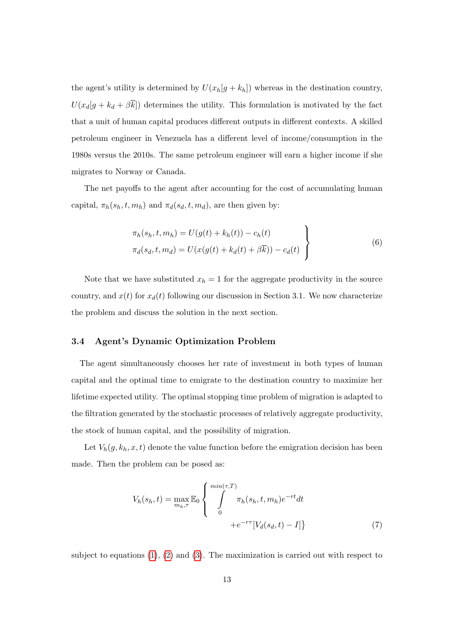the agent's utility is determined by  $U(x_h[g + k_h])$  whereas in the destination country,  $U(x_d[g + k_d + \beta \overline{k}])$  determines the utility. This formulation is motivated by the fact that a unit of human capital produces different outputs in different contexts. A skilled petroleum engineer in Venezuela has a different level of income/consumption in the 1980s versus the 2010s. The same petroleum engineer will earn a higher income if she migrates to Norway or Canada.

The net payoffs to the agent after accounting for the cost of accumulating human capital,  $\pi_h(s_h, t, m_h)$  and  $\pi_d(s_d, t, m_d)$ , are then given by:

$$
\pi_h(s_h, t, m_h) = U(g(t) + k_h(t)) - c_h(t) \n\pi_d(s_d, t, m_d) = U(x(g(t) + k_d(t) + \beta \overline{k})) - c_d(t) \n\tag{6}
$$

Note that we have substituted  $x_h = 1$  for the aggregate productivity in the source country, and  $x(t)$  for  $x_d(t)$  following our discussion in Section 3.1. We now characterize the problem and discuss the solution in the next section.

### 3.4 Agent's Dynamic Optimization Problem

The agent simultaneously chooses her rate of investment in both types of human capital and the optimal time to emigrate to the destination country to maximize her lifetime expected utility. The optimal stopping time problem of migration is adapted to the filtration generated by the stochastic processes of relatively aggregate productivity, the stock of human capital, and the possibility of migration.

Let  $V_h(g, k_h, x, t)$  denote the value function before the emigration decision has been made. Then the problem can be posed as:

<span id="page-12-0"></span>
$$
V_h(s_h, t) = \max_{m_h, \tau} \mathbb{E}_0 \left\{ \int_0^{\min(\tau, T)} \pi_h(s_h, t, m_h) e^{-rt} dt + e^{-r\tau} [V_d(s_d, t) - I] \right\}
$$
(7)

subject to equations  $(1)$ ,  $(2)$  and  $(3)$ . The maximization is carried out with respect to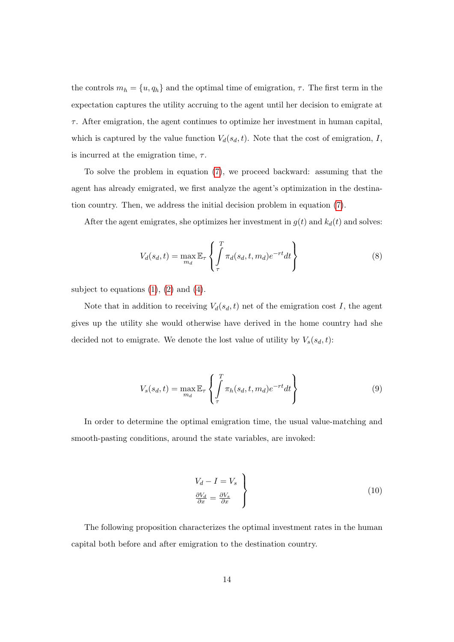the controls  $m_h = \{u, q_h\}$  and the optimal time of emigration,  $\tau$ . The first term in the expectation captures the utility accruing to the agent until her decision to emigrate at  $\tau$ . After emigration, the agent continues to optimize her investment in human capital, which is captured by the value function  $V_d(s_d, t)$ . Note that the cost of emigration, I, is incurred at the emigration time,  $\tau$ .

To solve the problem in equation [\(7\)](#page-12-0), we proceed backward: assuming that the agent has already emigrated, we first analyze the agent's optimization in the destination country. Then, we address the initial decision problem in equation [\(7\)](#page-12-0).

After the agent emigrates, she optimizes her investment in  $g(t)$  and  $k_d(t)$  and solves:

$$
V_d(s_d, t) = \max_{m_d} \mathbb{E}_{\tau} \left\{ \int_{\tau}^{T} \pi_d(s_d, t, m_d) e^{-rt} dt \right\}
$$
 (8)

subject to equations  $(1)$ ,  $(2)$  and  $(4)$ .

Note that in addition to receiving  $V_d(s_d, t)$  net of the emigration cost I, the agent gives up the utility she would otherwise have derived in the home country had she decided not to emigrate. We denote the lost value of utility by  $V_s(s_d, t)$ :

<span id="page-13-0"></span>
$$
V_s(s_d, t) = \max_{m_d} \mathbb{E}_{\tau} \left\{ \int_{\tau}^{T} \pi_h(s_d, t, m_d) e^{-rt} dt \right\}
$$
(9)

In order to determine the optimal emigration time, the usual value-matching and smooth-pasting conditions, around the state variables, are invoked:

$$
\begin{aligned}\nV_d - I &= V_s \\
\frac{\partial V_d}{\partial x} &= \frac{\partial V_s}{\partial x}\n\end{aligned}\n\tag{10}
$$

The following proposition characterizes the optimal investment rates in the human capital both before and after emigration to the destination country.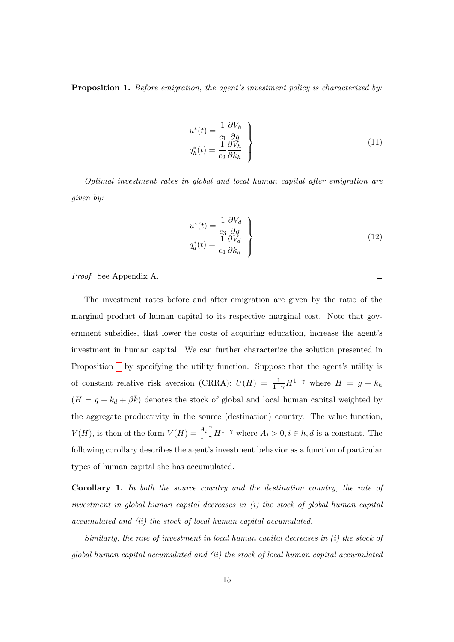<span id="page-14-0"></span>**Proposition 1.** Before emigration, the agent's investment policy is characterized by:

<span id="page-14-2"></span>
$$
u^*(t) = \frac{1}{c_1} \frac{\partial V_h}{\partial g}
$$
  
\n
$$
q_h^*(t) = \frac{1}{c_2} \frac{\partial V_h}{\partial k_h}
$$
\n(11)

Optimal investment rates in global and local human capital after emigration are given by:

<span id="page-14-1"></span>
$$
u^*(t) = \frac{1}{c_3} \frac{\partial V_d}{\partial g}
$$
  
\n
$$
q_d^*(t) = \frac{1}{c_4} \frac{\partial V_d}{\partial k_d}
$$
\n(12)

 $\Box$ 

Proof. See Appendix A.

The investment rates before and after emigration are given by the ratio of the marginal product of human capital to its respective marginal cost. Note that government subsidies, that lower the costs of acquiring education, increase the agent's investment in human capital. We can further characterize the solution presented in Proposition [1](#page-14-0) by specifying the utility function. Suppose that the agent's utility is of constant relative risk aversion (CRRA):  $U(H) = \frac{1}{1-\gamma} H^{1-\gamma}$  where  $H = g + k_h$  $(H = g + k_d + \beta \bar{k})$  denotes the stock of global and local human capital weighted by the aggregate productivity in the source (destination) country. The value function,  $V(H)$ , is then of the form  $V(H) = \frac{A_i^{-\gamma}}{1-\gamma} H^{1-\gamma}$  where  $A_i > 0, i \in h, d$  is a constant. The following corollary describes the agent's investment behavior as a function of particular types of human capital she has accumulated.

Corollary 1. In both the source country and the destination country, the rate of investment in global human capital decreases in (i) the stock of global human capital accumulated and (ii) the stock of local human capital accumulated.

Similarly, the rate of investment in local human capital decreases in (i) the stock of  $q_{\text{total}}$  human capital accumulated and (ii) the stock of local human capital accumulated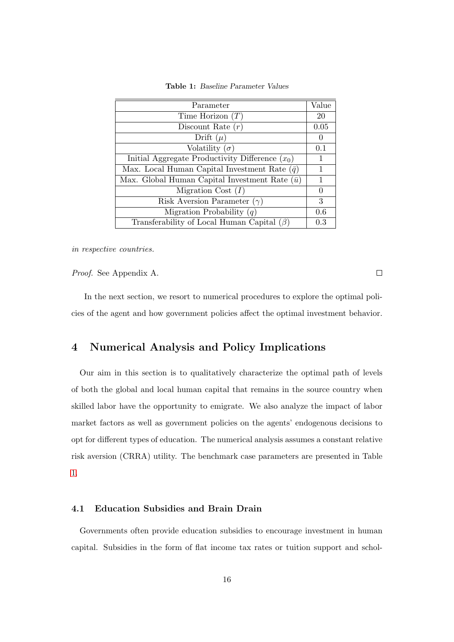<span id="page-15-1"></span>

| Parameter                                             | Value    |
|-------------------------------------------------------|----------|
| Time Horizon $(T)$                                    | 20       |
| Discount Rate $(r)$                                   | 0.05     |
| Drift $(\mu)$                                         | $\theta$ |
| Volatility $(\sigma)$                                 | 0.1      |
| Initial Aggregate Productivity Difference $(x_0)$     | 1        |
| Max. Local Human Capital Investment Rate $(\bar{q})$  |          |
| Max. Global Human Capital Investment Rate $(\bar{u})$ |          |
| Migration Cost $(I)$                                  |          |
| Risk Aversion Parameter $(\gamma)$                    | 3        |
| Migration Probability $(q)$                           | 0.6      |
| Transferability of Local Human Capital $(\beta)$      | 0.3      |

Table 1: Baseline Parameter Values

in respective countries.

Proof. See Appendix A.

In the next section, we resort to numerical procedures to explore the optimal policies of the agent and how government policies affect the optimal investment behavior.

### <span id="page-15-0"></span>4 Numerical Analysis and Policy Implications

Our aim in this section is to qualitatively characterize the optimal path of levels of both the global and local human capital that remains in the source country when skilled labor have the opportunity to emigrate. We also analyze the impact of labor market factors as well as government policies on the agents' endogenous decisions to opt for different types of education. The numerical analysis assumes a constant relative risk aversion (CRRA) utility. The benchmark case parameters are presented in Table [1.](#page-15-1)

### 4.1 Education Subsidies and Brain Drain

Governments often provide education subsidies to encourage investment in human capital. Subsidies in the form of flat income tax rates or tuition support and schol-

 $\Box$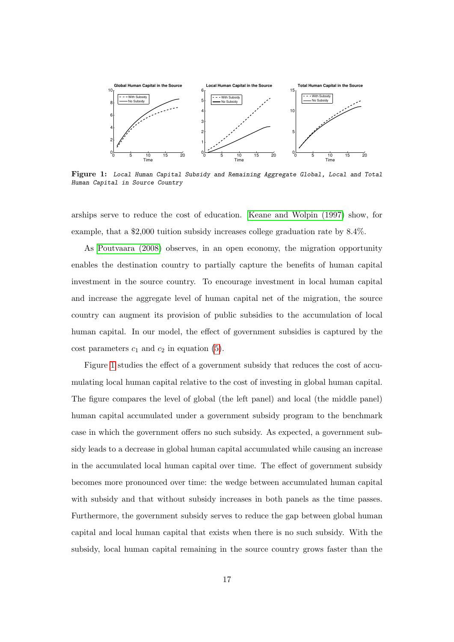<span id="page-16-0"></span>

Figure 1: Local Human Capital Subsidy and Remaining Aggregate Global, Local and Total Human Capital in Source Country

arships serve to reduce the cost of education. [Keane and Wolpin \(1997\)](#page-31-10) show, for example, that a \$2,000 tuition subsidy increases college graduation rate by 8.4%.

As [Poutvaara \(2008\)](#page-32-7) observes, in an open economy, the migration opportunity enables the destination country to partially capture the benefits of human capital investment in the source country. To encourage investment in local human capital and increase the aggregate level of human capital net of the migration, the source country can augment its provision of public subsidies to the accumulation of local human capital. In our model, the effect of government subsidies is captured by the cost parameters  $c_1$  and  $c_2$  in equation [\(5\)](#page-11-2).

Figure [1](#page-16-0) studies the effect of a government subsidy that reduces the cost of accumulating local human capital relative to the cost of investing in global human capital. The figure compares the level of global (the left panel) and local (the middle panel) human capital accumulated under a government subsidy program to the benchmark case in which the government offers no such subsidy. As expected, a government subsidy leads to a decrease in global human capital accumulated while causing an increase in the accumulated local human capital over time. The effect of government subsidy becomes more pronounced over time: the wedge between accumulated human capital with subsidy and that without subsidy increases in both panels as the time passes. Furthermore, the government subsidy serves to reduce the gap between global human capital and local human capital that exists when there is no such subsidy. With the subsidy, local human capital remaining in the source country grows faster than the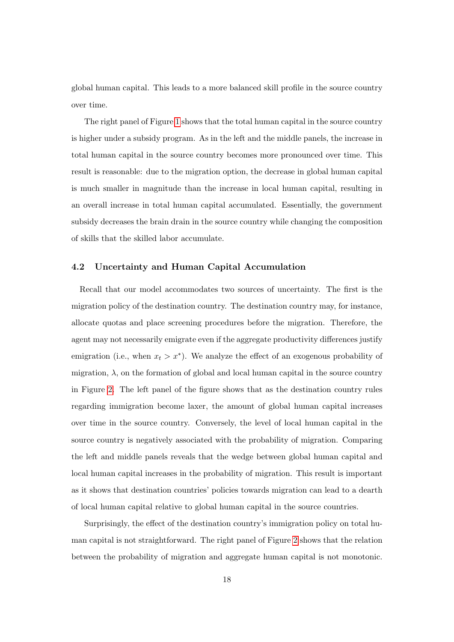global human capital. This leads to a more balanced skill profile in the source country over time.

The right panel of Figure [1](#page-16-0) shows that the total human capital in the source country is higher under a subsidy program. As in the left and the middle panels, the increase in total human capital in the source country becomes more pronounced over time. This result is reasonable: due to the migration option, the decrease in global human capital is much smaller in magnitude than the increase in local human capital, resulting in an overall increase in total human capital accumulated. Essentially, the government subsidy decreases the brain drain in the source country while changing the composition of skills that the skilled labor accumulate.

#### 4.2 Uncertainty and Human Capital Accumulation

Recall that our model accommodates two sources of uncertainty. The first is the migration policy of the destination country. The destination country may, for instance, allocate quotas and place screening procedures before the migration. Therefore, the agent may not necessarily emigrate even if the aggregate productivity differences justify emigration (i.e., when  $x_t > x^*$ ). We analyze the effect of an exogenous probability of migration,  $\lambda$ , on the formation of global and local human capital in the source country in Figure [2.](#page-18-0) The left panel of the figure shows that as the destination country rules regarding immigration become laxer, the amount of global human capital increases over time in the source country. Conversely, the level of local human capital in the source country is negatively associated with the probability of migration. Comparing the left and middle panels reveals that the wedge between global human capital and local human capital increases in the probability of migration. This result is important as it shows that destination countries' policies towards migration can lead to a dearth of local human capital relative to global human capital in the source countries.

Surprisingly, the effect of the destination country's immigration policy on total human capital is not straightforward. The right panel of Figure [2](#page-18-0) shows that the relation between the probability of migration and aggregate human capital is not monotonic.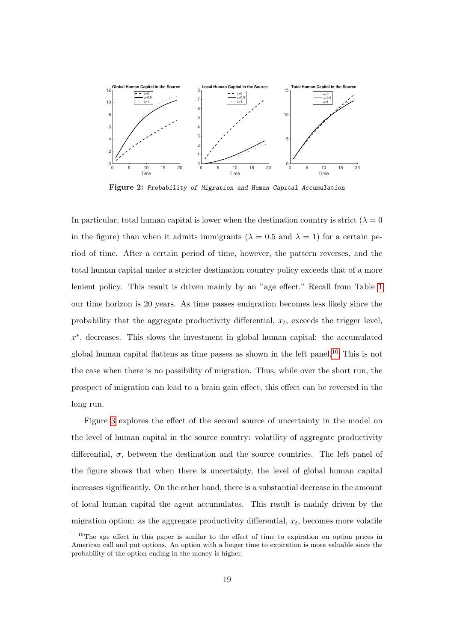<span id="page-18-0"></span>

Figure 2: Probability of Migration and Human Capital Accumulation

In particular, total human capital is lower when the destination country is strict ( $\lambda = 0$ in the figure) than when it admits immigrants ( $\lambda = 0.5$  and  $\lambda = 1$ ) for a certain period of time. After a certain period of time, however, the pattern reverses, and the total human capital under a stricter destination country policy exceeds that of a more lenient policy. This result is driven mainly by an "age effect." Recall from Table [1](#page-15-1) our time horizon is 20 years. As time passes emigration becomes less likely since the probability that the aggregate productivity differential,  $x_t$ , exceeds the trigger level, x ∗ , decreases. This slows the investment in global human capital: the accumulated global human capital flattens as time passes as shown in the left panel.<sup>[10](#page-18-1)</sup> This is not the case when there is no possibility of migration. Thus, while over the short run, the prospect of migration can lead to a brain gain effect, this effect can be reversed in the long run.

Figure [3](#page-19-0) explores the effect of the second source of uncertainty in the model on the level of human capital in the source country: volatility of aggregate productivity differential,  $\sigma$ , between the destination and the source countries. The left panel of the figure shows that when there is uncertainty, the level of global human capital increases significantly. On the other hand, there is a substantial decrease in the amount of local human capital the agent accumulates. This result is mainly driven by the migration option: as the aggregate productivity differential,  $x_t$ , becomes more volatile

<span id="page-18-1"></span><sup>&</sup>lt;sup>10</sup>The age effect in this paper is similar to the effect of time to expiration on option prices in American call and put options. An option with a longer time to expiration is more valuable since the probability of the option ending in the money is higher.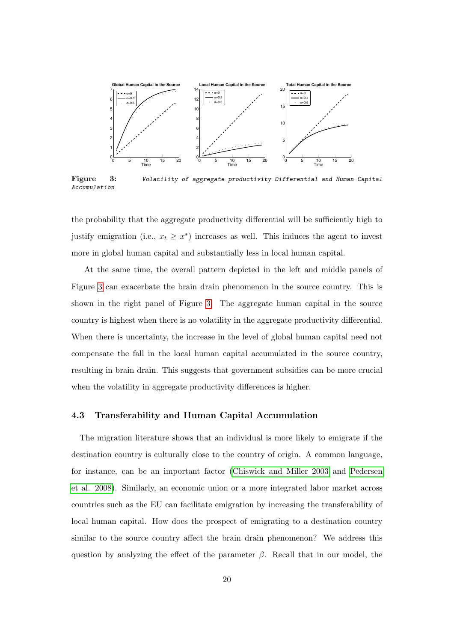<span id="page-19-0"></span>

Figure 3: Volatility of aggregate productivity Differential and Human Capital Accumulation

the probability that the aggregate productivity differential will be sufficiently high to justify emigration (i.e.,  $x_t \geq x^*$ ) increases as well. This induces the agent to invest more in global human capital and substantially less in local human capital.

At the same time, the overall pattern depicted in the left and middle panels of Figure [3](#page-19-0) can exacerbate the brain drain phenomenon in the source country. This is shown in the right panel of Figure [3.](#page-19-0) The aggregate human capital in the source country is highest when there is no volatility in the aggregate productivity differential. When there is uncertainty, the increase in the level of global human capital need not compensate the fall in the local human capital accumulated in the source country, resulting in brain drain. This suggests that government subsidies can be more crucial when the volatility in aggregate productivity differences is higher.

#### 4.3 Transferability and Human Capital Accumulation

The migration literature shows that an individual is more likely to emigrate if the destination country is culturally close to the country of origin. A common language, for instance, can be an important factor [\(Chiswick and Miller 2003](#page-30-6) and [Pedersen](#page-32-10) [et al. 2008\)](#page-32-10). Similarly, an economic union or a more integrated labor market across countries such as the EU can facilitate emigration by increasing the transferability of local human capital. How does the prospect of emigrating to a destination country similar to the source country affect the brain drain phenomenon? We address this question by analyzing the effect of the parameter  $\beta$ . Recall that in our model, the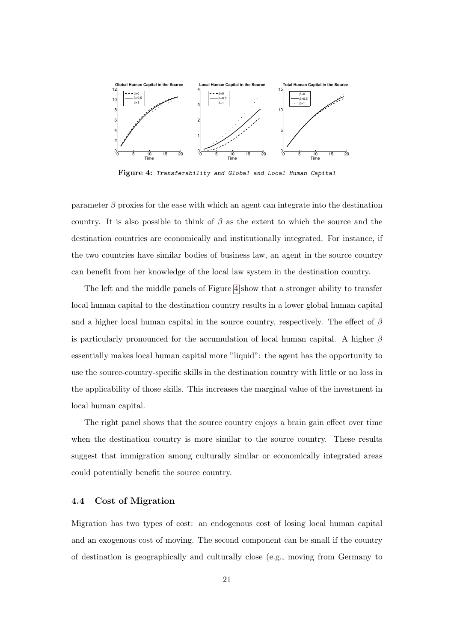<span id="page-20-0"></span>

Figure 4: Transferability and Global and Local Human Capital

parameter  $\beta$  proxies for the ease with which an agent can integrate into the destination country. It is also possible to think of  $\beta$  as the extent to which the source and the destination countries are economically and institutionally integrated. For instance, if the two countries have similar bodies of business law, an agent in the source country can benefit from her knowledge of the local law system in the destination country.

The left and the middle panels of Figure [4](#page-20-0) show that a stronger ability to transfer local human capital to the destination country results in a lower global human capital and a higher local human capital in the source country, respectively. The effect of  $\beta$ is particularly pronounced for the accumulation of local human capital. A higher  $\beta$ essentially makes local human capital more "liquid": the agent has the opportunity to use the source-country-specific skills in the destination country with little or no loss in the applicability of those skills. This increases the marginal value of the investment in local human capital.

The right panel shows that the source country enjoys a brain gain effect over time when the destination country is more similar to the source country. These results suggest that immigration among culturally similar or economically integrated areas could potentially benefit the source country.

#### 4.4 Cost of Migration

Migration has two types of cost: an endogenous cost of losing local human capital and an exogenous cost of moving. The second component can be small if the country of destination is geographically and culturally close (e.g., moving from Germany to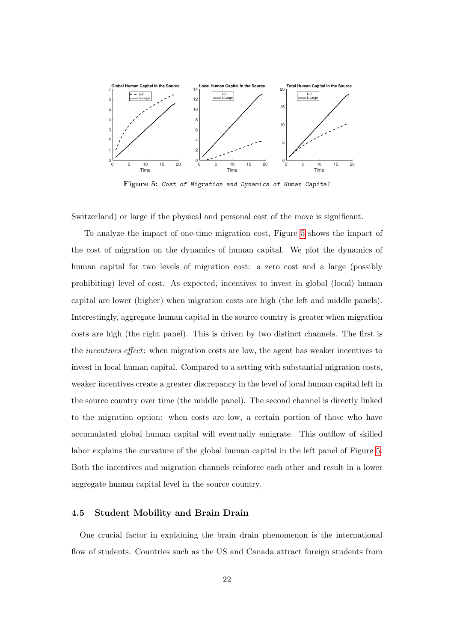<span id="page-21-0"></span>

Figure 5: Cost of Migration and Dynamics of Human Capital

Switzerland) or large if the physical and personal cost of the move is significant.

To analyze the impact of one-time migration cost, Figure [5](#page-21-0) shows the impact of the cost of migration on the dynamics of human capital. We plot the dynamics of human capital for two levels of migration cost: a zero cost and a large (possibly prohibiting) level of cost. As expected, incentives to invest in global (local) human capital are lower (higher) when migration costs are high (the left and middle panels). Interestingly, aggregate human capital in the source country is greater when migration costs are high (the right panel). This is driven by two distinct channels. The first is the incentives effect: when migration costs are low, the agent has weaker incentives to invest in local human capital. Compared to a setting with substantial migration costs, weaker incentives create a greater discrepancy in the level of local human capital left in the source country over time (the middle panel). The second channel is directly linked to the migration option: when costs are low, a certain portion of those who have accumulated global human capital will eventually emigrate. This outflow of skilled labor explains the curvature of the global human capital in the left panel of Figure [5.](#page-21-0) Both the incentives and migration channels reinforce each other and result in a lower aggregate human capital level in the source country.

#### 4.5 Student Mobility and Brain Drain

One crucial factor in explaining the brain drain phenomenon is the international flow of students. Countries such as the US and Canada attract foreign students from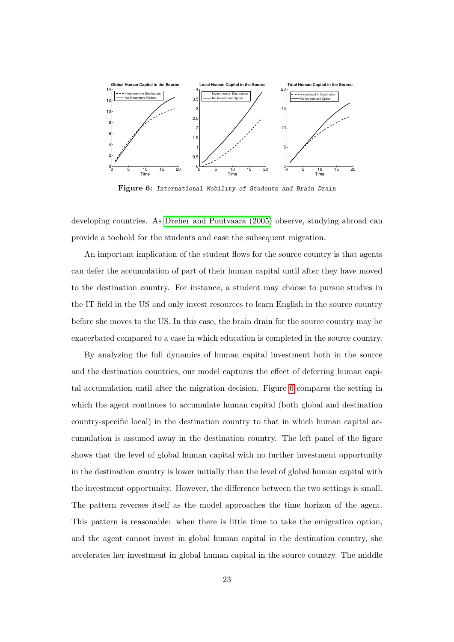<span id="page-22-0"></span>

Figure 6: International Mobility of Students and Brain Drain

developing countries. As [Dreher and Poutvaara \(2005\)](#page-31-3) observe, studying abroad can provide a toehold for the students and ease the subsequent migration.

An important implication of the student flows for the source country is that agents can defer the accumulation of part of their human capital until after they have moved to the destination country. For instance, a student may choose to pursue studies in the IT field in the US and only invest resources to learn English in the source country before she moves to the US. In this case, the brain drain for the source country may be exacerbated compared to a case in which education is completed in the source country.

By analyzing the full dynamics of human capital investment both in the source and the destination countries, our model captures the effect of deferring human capital accumulation until after the migration decision. Figure [6](#page-22-0) compares the setting in which the agent continues to accumulate human capital (both global and destination country-specific local) in the destination country to that in which human capital accumulation is assumed away in the destination country. The left panel of the figure shows that the level of global human capital with no further investment opportunity in the destination country is lower initially than the level of global human capital with the investment opportunity. However, the difference between the two settings is small. The pattern reverses itself as the model approaches the time horizon of the agent. This pattern is reasonable: when there is little time to take the emigration option, and the agent cannot invest in global human capital in the destination country, she accelerates her investment in global human capital in the source country. The middle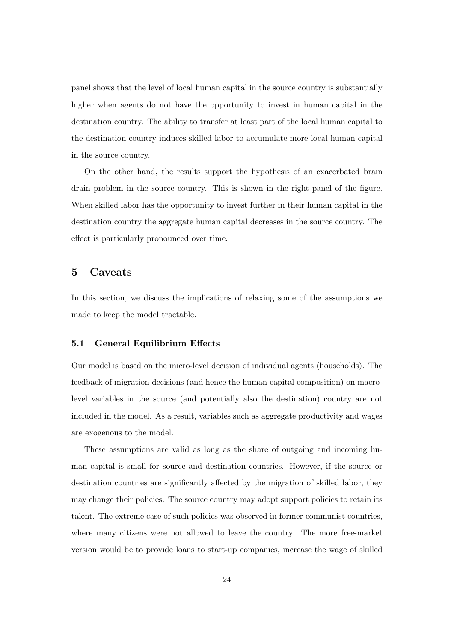panel shows that the level of local human capital in the source country is substantially higher when agents do not have the opportunity to invest in human capital in the destination country. The ability to transfer at least part of the local human capital to the destination country induces skilled labor to accumulate more local human capital in the source country.

On the other hand, the results support the hypothesis of an exacerbated brain drain problem in the source country. This is shown in the right panel of the figure. When skilled labor has the opportunity to invest further in their human capital in the destination country the aggregate human capital decreases in the source country. The effect is particularly pronounced over time.

### <span id="page-23-0"></span>5 Caveats

In this section, we discuss the implications of relaxing some of the assumptions we made to keep the model tractable.

#### 5.1 General Equilibrium Effects

Our model is based on the micro-level decision of individual agents (households). The feedback of migration decisions (and hence the human capital composition) on macrolevel variables in the source (and potentially also the destination) country are not included in the model. As a result, variables such as aggregate productivity and wages are exogenous to the model.

These assumptions are valid as long as the share of outgoing and incoming human capital is small for source and destination countries. However, if the source or destination countries are significantly affected by the migration of skilled labor, they may change their policies. The source country may adopt support policies to retain its talent. The extreme case of such policies was observed in former communist countries, where many citizens were not allowed to leave the country. The more free-market version would be to provide loans to start-up companies, increase the wage of skilled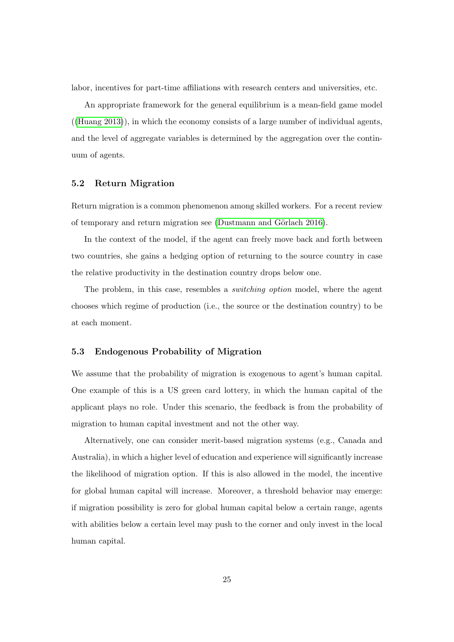labor, incentives for part-time affiliations with research centers and universities, etc.

An appropriate framework for the general equilibrium is a mean-field game model ([\(Huang 2013\)](#page-31-11)), in which the economy consists of a large number of individual agents, and the level of aggregate variables is determined by the aggregation over the continuum of agents.

#### 5.2 Return Migration

Return migration is a common phenomenon among skilled workers. For a recent review of temporary and return migration see (Dustmann and Görlach 2016).

In the context of the model, if the agent can freely move back and forth between two countries, she gains a hedging option of returning to the source country in case the relative productivity in the destination country drops below one.

The problem, in this case, resembles a *switching option* model, where the agent chooses which regime of production (i.e., the source or the destination country) to be at each moment.

#### 5.3 Endogenous Probability of Migration

We assume that the probability of migration is exogenous to agent's human capital. One example of this is a US green card lottery, in which the human capital of the applicant plays no role. Under this scenario, the feedback is from the probability of migration to human capital investment and not the other way.

Alternatively, one can consider merit-based migration systems (e.g., Canada and Australia), in which a higher level of education and experience will significantly increase the likelihood of migration option. If this is also allowed in the model, the incentive for global human capital will increase. Moreover, a threshold behavior may emerge: if migration possibility is zero for global human capital below a certain range, agents with abilities below a certain level may push to the corner and only invest in the local human capital.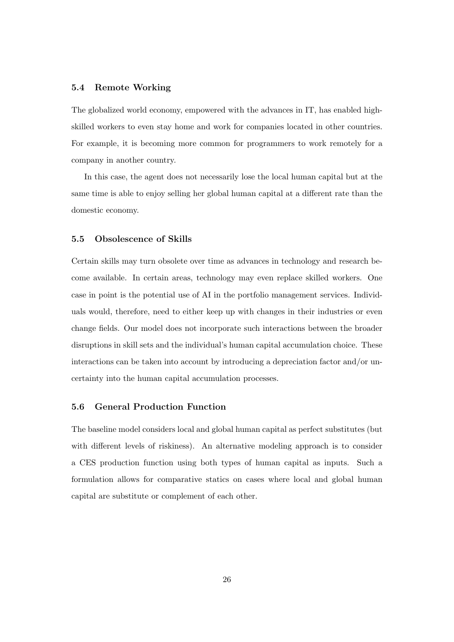### 5.4 Remote Working

The globalized world economy, empowered with the advances in IT, has enabled highskilled workers to even stay home and work for companies located in other countries. For example, it is becoming more common for programmers to work remotely for a company in another country.

In this case, the agent does not necessarily lose the local human capital but at the same time is able to enjoy selling her global human capital at a different rate than the domestic economy.

#### 5.5 Obsolescence of Skills

Certain skills may turn obsolete over time as advances in technology and research become available. In certain areas, technology may even replace skilled workers. One case in point is the potential use of AI in the portfolio management services. Individuals would, therefore, need to either keep up with changes in their industries or even change fields. Our model does not incorporate such interactions between the broader disruptions in skill sets and the individual's human capital accumulation choice. These interactions can be taken into account by introducing a depreciation factor and/or uncertainty into the human capital accumulation processes.

#### 5.6 General Production Function

The baseline model considers local and global human capital as perfect substitutes (but with different levels of riskiness). An alternative modeling approach is to consider a CES production function using both types of human capital as inputs. Such a formulation allows for comparative statics on cases where local and global human capital are substitute or complement of each other.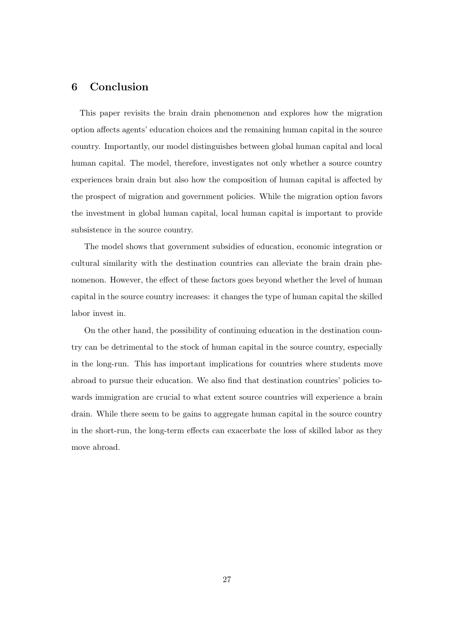# <span id="page-26-0"></span>6 Conclusion

This paper revisits the brain drain phenomenon and explores how the migration option affects agents' education choices and the remaining human capital in the source country. Importantly, our model distinguishes between global human capital and local human capital. The model, therefore, investigates not only whether a source country experiences brain drain but also how the composition of human capital is affected by the prospect of migration and government policies. While the migration option favors the investment in global human capital, local human capital is important to provide subsistence in the source country.

The model shows that government subsidies of education, economic integration or cultural similarity with the destination countries can alleviate the brain drain phenomenon. However, the effect of these factors goes beyond whether the level of human capital in the source country increases: it changes the type of human capital the skilled labor invest in.

On the other hand, the possibility of continuing education in the destination country can be detrimental to the stock of human capital in the source country, especially in the long-run. This has important implications for countries where students move abroad to pursue their education. We also find that destination countries' policies towards immigration are crucial to what extent source countries will experience a brain drain. While there seem to be gains to aggregate human capital in the source country in the short-run, the long-term effects can exacerbate the loss of skilled labor as they move abroad.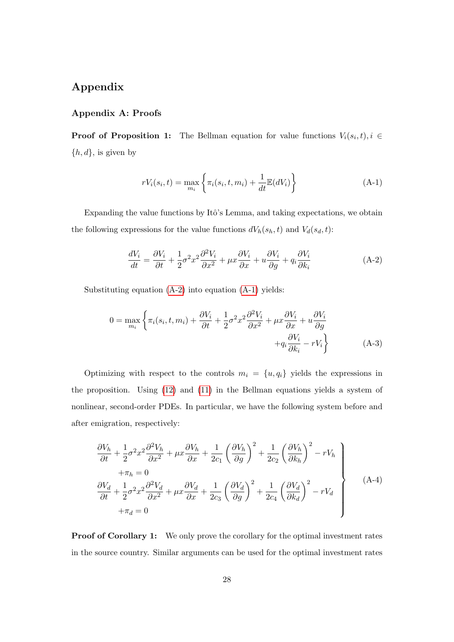# Appendix

### Appendix A: Proofs

**Proof of Proposition 1:** The Bellman equation for value functions  $V_i(s_i,t)$ ,  $i \in$  $\{h, d\}$ , is given by

<span id="page-27-1"></span>
$$
rV_i(s_i, t) = \max_{m_i} \left\{ \pi_i(s_i, t, m_i) + \frac{1}{dt} \mathbb{E}(dV_i) \right\}
$$
 (A-1)

Expanding the value functions by Itô's Lemma, and taking expectations, we obtain the following expressions for the value functions  $dV_h(s_h, t)$  and  $V_d(s_d, t)$ :

<span id="page-27-0"></span>
$$
\frac{dV_i}{dt} = \frac{\partial V_i}{\partial t} + \frac{1}{2}\sigma^2 x^2 \frac{\partial^2 V_i}{\partial x^2} + \mu x \frac{\partial V_i}{\partial x} + u \frac{\partial V_i}{\partial g} + q_i \frac{\partial V_i}{\partial k_i}
$$
(A-2)

Substituting equation [\(A-2\)](#page-27-0) into equation [\(A-1\)](#page-27-1) yields:

$$
0 = \max_{m_i} \left\{ \pi_i(s_i, t, m_i) + \frac{\partial V_i}{\partial t} + \frac{1}{2} \sigma^2 x^2 \frac{\partial^2 V_i}{\partial x^2} + \mu x \frac{\partial V_i}{\partial x} + u \frac{\partial V_i}{\partial g} + q_i \frac{\partial V_i}{\partial k_i} - rV_i \right\}
$$
(A-3)

Optimizing with respect to the controls  $m_i = \{u, q_i\}$  yields the expressions in the proposition. Using [\(12\)](#page-14-1) and [\(11\)](#page-14-2) in the Bellman equations yields a system of nonlinear, second-order PDEs. In particular, we have the following system before and after emigration, respectively:

$$
\frac{\partial V_h}{\partial t} + \frac{1}{2}\sigma^2 x^2 \frac{\partial^2 V_h}{\partial x^2} + \mu x \frac{\partial V_h}{\partial x} + \frac{1}{2c_1} \left(\frac{\partial V_h}{\partial g}\right)^2 + \frac{1}{2c_2} \left(\frac{\partial V_h}{\partial k_h}\right)^2 - rV_h
$$
\n
$$
+ \pi_h = 0
$$
\n
$$
\frac{\partial V_d}{\partial t} + \frac{1}{2}\sigma^2 x^2 \frac{\partial^2 V_d}{\partial x^2} + \mu x \frac{\partial V_d}{\partial x} + \frac{1}{2c_3} \left(\frac{\partial V_d}{\partial g}\right)^2 + \frac{1}{2c_4} \left(\frac{\partial V_d}{\partial k_d}\right)^2 - rV_d
$$
\n
$$
+ \pi_d = 0
$$
\n(A-4)

Proof of Corollary 1: We only prove the corollary for the optimal investment rates in the source country. Similar arguments can be used for the optimal investment rates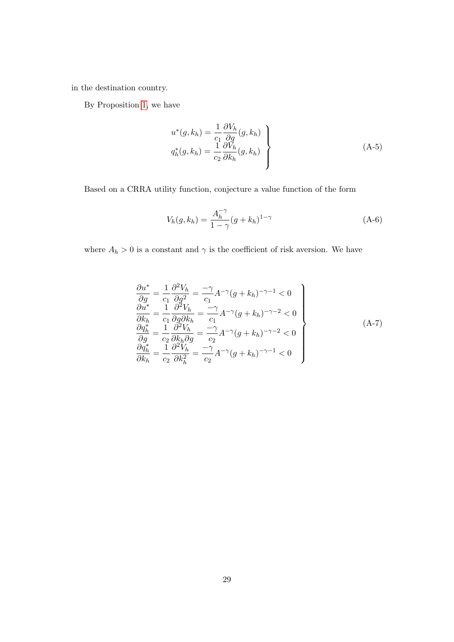in the destination country.

By Proposition [1,](#page-14-0) we have

$$
u^*(g, k_h) = \frac{1}{c_1} \frac{\partial V_h}{\partial g} (g, k_h)
$$
  

$$
q_h^*(g, k_h) = \frac{1}{c_2} \frac{\partial V_h}{\partial k_h} (g, k_h)
$$
 (A-5)

Based on a CRRA utility function, conjecture a value function of the form

$$
V_h(g, k_h) = \frac{A_h^{-\gamma}}{1 - \gamma} (g + k_h)^{1 - \gamma}
$$
 (A-6)

where  $A_h > 0$  is a constant and  $\gamma$  is the coefficient of risk aversion. We have

$$
\begin{aligned}\n\frac{\partial u^*}{\partial g} &= \frac{1}{c_1} \frac{\partial^2 V_h}{\partial g^2} = \frac{-\gamma}{c_1} A^{-\gamma} (g + k_h)^{-\gamma - 1} < 0 \\
\frac{\partial u^*}{\partial k_h} &= \frac{1}{c_1} \frac{\partial^2 V_h}{\partial g \partial k_h} = \frac{-\gamma}{c_1} A^{-\gamma} (g + k_h)^{-\gamma - 2} < 0 \\
\frac{\partial q_h^*}{\partial g} &= \frac{1}{c_2} \frac{\partial^2 V_h}{\partial k_h \partial g} = \frac{-\gamma}{c_2} A^{-\gamma} (g + k_h)^{-\gamma - 2} < 0 \\
\frac{\partial q_h^*}{\partial k_h} &= \frac{1}{c_2} \frac{\partial^2 V_h}{\partial k_h^2} = \frac{-\gamma}{c_2} A^{-\gamma} (g + k_h)^{-\gamma - 1} < 0\n\end{aligned}
$$
\n(A-7)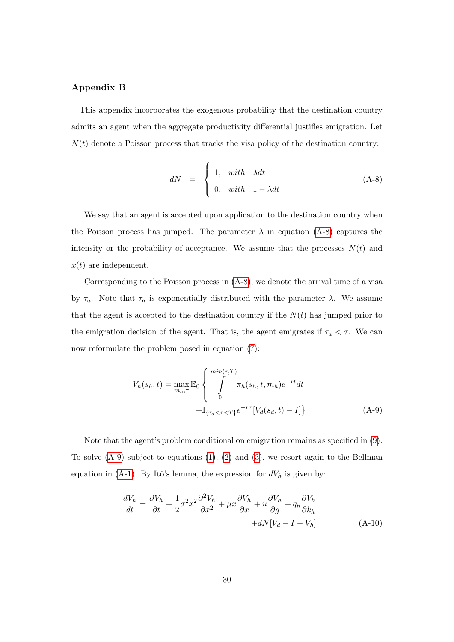### Appendix B

This appendix incorporates the exogenous probability that the destination country admits an agent when the aggregate productivity differential justifies emigration. Let  $N(t)$  denote a Poisson process that tracks the visa policy of the destination country:

<span id="page-29-0"></span>
$$
dN = \begin{cases} 1, & with \quad \lambda dt \\ 0, & with \quad 1 - \lambda dt \end{cases}
$$
 (A-8)

We say that an agent is accepted upon application to the destination country when the Poisson process has jumped. The parameter  $\lambda$  in equation [\(A-8\)](#page-29-0) captures the intensity or the probability of acceptance. We assume that the processes  $N(t)$  and  $x(t)$  are independent.

Corresponding to the Poisson process in [\(A-8\)](#page-29-0), we denote the arrival time of a visa by  $\tau_a$ . Note that  $\tau_a$  is exponentially distributed with the parameter  $\lambda$ . We assume that the agent is accepted to the destination country if the  $N(t)$  has jumped prior to the emigration decision of the agent. That is, the agent emigrates if  $\tau_a < \tau$ . We can now reformulate the problem posed in equation [\(7\)](#page-12-0):

<span id="page-29-1"></span>
$$
V_h(s_h, t) = \max_{m_h, \tau} \mathbb{E}_0 \left\{ \int_0^{\min(\tau, T)} \pi_h(s_h, t, m_h) e^{-rt} dt + \mathbb{I}_{\{\tau_a < \tau < T\}} e^{-r\tau} [V_d(s_d, t) - I] \right\} \tag{A-9}
$$

Note that the agent's problem conditional on emigration remains as specified in [\(9\)](#page-13-0). To solve  $(A-9)$  subject to equations  $(1), (2)$  $(1), (2)$  $(1), (2)$  and  $(3),$  $(3),$  we resort again to the Bellman equation in [\(A-1\)](#page-27-1). By Itô's lemma, the expression for  $dV<sub>h</sub>$  is given by:

<span id="page-29-2"></span>
$$
\frac{dV_h}{dt} = \frac{\partial V_h}{\partial t} + \frac{1}{2}\sigma^2 x^2 \frac{\partial^2 V_h}{\partial x^2} + \mu x \frac{\partial V_h}{\partial x} + u \frac{\partial V_h}{\partial g} + q_h \frac{\partial V_h}{\partial k_h} + dN[V_d - I - V_h]
$$
\n(A-10)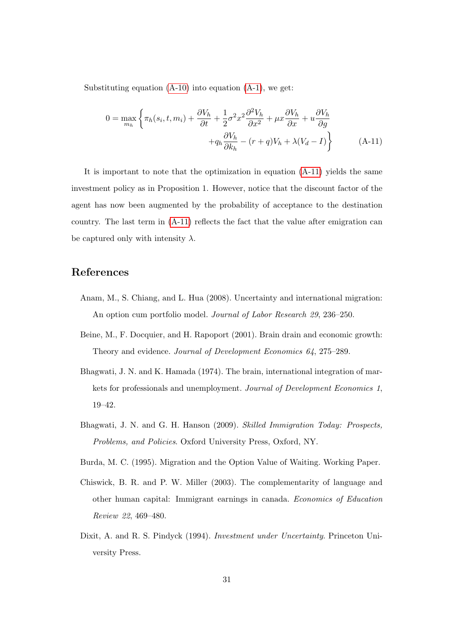Substituting equation  $(A-10)$  into equation  $(A-1)$ , we get:

<span id="page-30-7"></span>
$$
0 = \max_{m_h} \left\{ \pi_h(s_i, t, m_i) + \frac{\partial V_h}{\partial t} + \frac{1}{2} \sigma^2 x^2 \frac{\partial^2 V_h}{\partial x^2} + \mu x \frac{\partial V_h}{\partial x} + u \frac{\partial V_h}{\partial g} + q_h \frac{\partial V_h}{\partial k_h} - (r + q) V_h + \lambda (V_d - I) \right\}
$$
(A-11)

It is important to note that the optimization in equation [\(A-11\)](#page-30-7) yields the same investment policy as in Proposition 1. However, notice that the discount factor of the agent has now been augmented by the probability of acceptance to the destination country. The last term in [\(A-11\)](#page-30-7) reflects the fact that the value after emigration can be captured only with intensity  $\lambda$ .

# References

- <span id="page-30-4"></span>Anam, M., S. Chiang, and L. Hua (2008). Uncertainty and international migration: An option cum portfolio model. Journal of Labor Research 29, 236–250.
- <span id="page-30-0"></span>Beine, M., F. Docquier, and H. Rapoport (2001). Brain drain and economic growth: Theory and evidence. Journal of Development Economics 64, 275–289.
- <span id="page-30-2"></span>Bhagwati, J. N. and K. Hamada (1974). The brain, international integration of markets for professionals and unemployment. Journal of Development Economics 1, 19–42.
- <span id="page-30-1"></span>Bhagwati, J. N. and G. H. Hanson (2009). Skilled Immigration Today: Prospects, Problems, and Policies. Oxford University Press, Oxford, NY.
- <span id="page-30-6"></span><span id="page-30-3"></span>Burda, M. C. (1995). Migration and the Option Value of Waiting. Working Paper.
- Chiswick, B. R. and P. W. Miller (2003). The complementarity of language and other human capital: Immigrant earnings in canada. Economics of Education Review 22, 469–480.
- <span id="page-30-5"></span>Dixit, A. and R. S. Pindyck (1994). *Investment under Uncertainty*. Princeton University Press.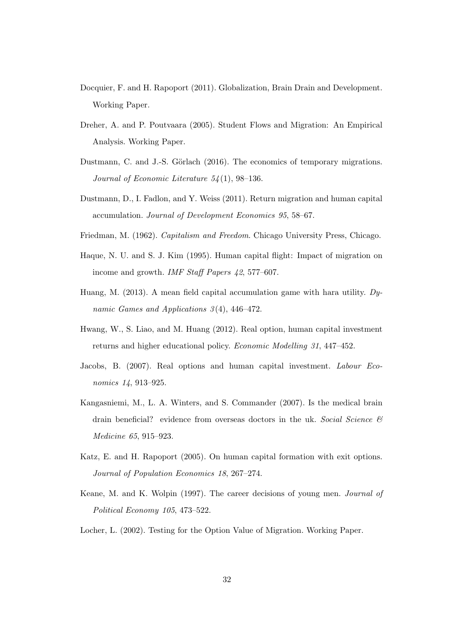- <span id="page-31-0"></span>Docquier, F. and H. Rapoport (2011). Globalization, Brain Drain and Development. Working Paper.
- <span id="page-31-3"></span>Dreher, A. and P. Poutvaara (2005). Student Flows and Migration: An Empirical Analysis. Working Paper.
- <span id="page-31-12"></span>Dustmann, C. and J.-S. Görlach (2016). The economics of temporary migrations. Journal of Economic Literature 54 (1), 98–136.
- <span id="page-31-1"></span>Dustmann, D., I. Fadlon, and Y. Weiss (2011). Return migration and human capital accumulation. Journal of Development Economics 95, 58–67.
- <span id="page-31-5"></span><span id="page-31-4"></span>Friedman, M. (1962). Capitalism and Freedom. Chicago University Press, Chicago.
- Haque, N. U. and S. J. Kim (1995). Human capital flight: Impact of migration on income and growth. IMF Staff Papers 42, 577–607.
- <span id="page-31-11"></span>Huang, M. (2013). A mean field capital accumulation game with hara utility. Dynamic Games and Applications 3 (4), 446–472.
- <span id="page-31-8"></span>Hwang, W., S. Liao, and M. Huang (2012). Real option, human capital investment returns and higher educational policy. Economic Modelling 31, 447–452.
- <span id="page-31-7"></span>Jacobs, B. (2007). Real options and human capital investment. Labour Economics 14, 913–925.
- <span id="page-31-2"></span>Kangasniemi, M., L. A. Winters, and S. Commander (2007). Is the medical brain drain beneficial? evidence from overseas doctors in the uk. Social Science  $\mathcal{C}$ Medicine 65, 915–923.
- <span id="page-31-6"></span>Katz, E. and H. Rapoport (2005). On human capital formation with exit options. Journal of Population Economics 18, 267–274.
- <span id="page-31-10"></span>Keane, M. and K. Wolpin (1997). The career decisions of young men. Journal of Political Economy 105, 473–522.
- <span id="page-31-9"></span>Locher, L. (2002). Testing for the Option Value of Migration. Working Paper.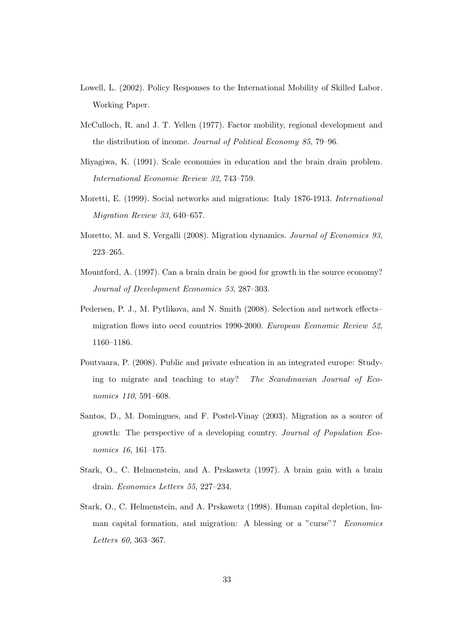- <span id="page-32-4"></span>Lowell, L. (2002). Policy Responses to the International Mobility of Skilled Labor. Working Paper.
- <span id="page-32-5"></span>McCulloch, R. and J. T. Yellen (1977). Factor mobility, regional development and the distribution of income. Journal of Political Economy 85, 79–96.
- <span id="page-32-6"></span>Miyagiwa, K. (1991). Scale economies in education and the brain drain problem. International Economic Review 32, 743–759.
- <span id="page-32-8"></span>Moretti, E. (1999). Social networks and migrations: Italy 1876-1913. International Migration Review 33, 640–657.
- <span id="page-32-9"></span>Moretto, M. and S. Vergalli (2008). Migration dynamics. Journal of Economics 93, 223–265.
- <span id="page-32-0"></span>Mountford, A. (1997). Can a brain drain be good for growth in the source economy? Journal of Development Economics 53, 287–303.
- <span id="page-32-10"></span>Pedersen, P. J., M. Pytlikova, and N. Smith (2008). Selection and network effects– migration flows into oecd countries 1990-2000. European Economic Review 52, 1160–1186.
- <span id="page-32-7"></span>Poutvaara, P. (2008). Public and private education in an integrated europe: Studying to migrate and teaching to stay? The Scandinavian Journal of Economics 110, 591–608.
- <span id="page-32-3"></span>Santos, D., M. Domingues, and F. Postel-Vinay (2003). Migration as a source of growth: The perspective of a developing country. Journal of Population Economics 16, 161–175.
- <span id="page-32-2"></span>Stark, O., C. Helmenstein, and A. Prskawetz (1997). A brain gain with a brain drain. Economics Letters 55, 227–234.
- <span id="page-32-1"></span>Stark, O., C. Helmenstein, and A. Prskawetz (1998). Human capital depletion, human capital formation, and migration: A blessing or a "curse"? Economics Letters 60, 363–367.